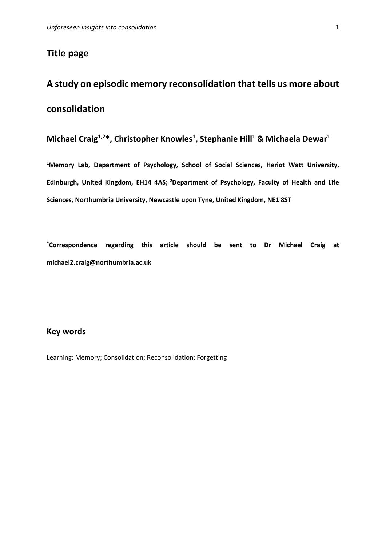# **Title page**

# **A study on episodic memory reconsolidation that tells us more about consolidation**

## **Michael Craig1,2\*, Christopher Knowles<sup>1</sup> , Stephanie Hill<sup>1</sup> & Michaela Dewar<sup>1</sup>**

**<sup>1</sup>Memory Lab, Department of Psychology, School of Social Sciences, Heriot Watt University, Edinburgh, United Kingdom, EH14 4AS; <sup>2</sup>Department of Psychology, Faculty of Health and Life Sciences, Northumbria University, Newcastle upon Tyne, United Kingdom, NE1 8ST**

**\*Correspondence regarding this article should be sent to Dr Michael Craig at michael2.craig@northumbria.ac.uk**

## **Key words**

Learning; Memory; Consolidation; Reconsolidation; Forgetting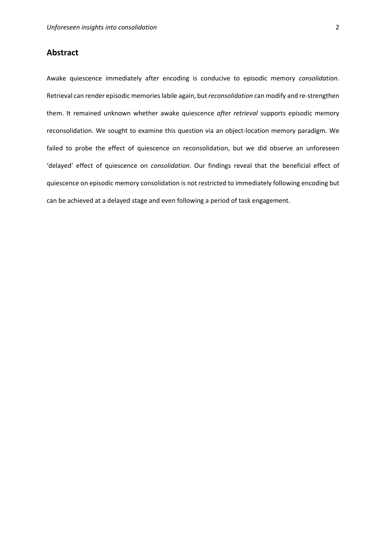#### **Abstract**

Awake quiescence immediately after encoding is conducive to episodic memory *consolidation*. Retrieval can render episodic memories labile again, but *reconsolidation* can modify and re-strengthen them. It remained unknown whether awake quiescence *after retrieval* supports episodic memory reconsolidation. We sought to examine this question via an object-location memory paradigm. We failed to probe the effect of quiescence on reconsolidation, but we did observe an unforeseen 'delayed' effect of quiescence on *consolidation*. Our findings reveal that the beneficial effect of quiescence on episodic memory consolidation is not restricted to immediately following encoding but can be achieved at a delayed stage and even following a period of task engagement.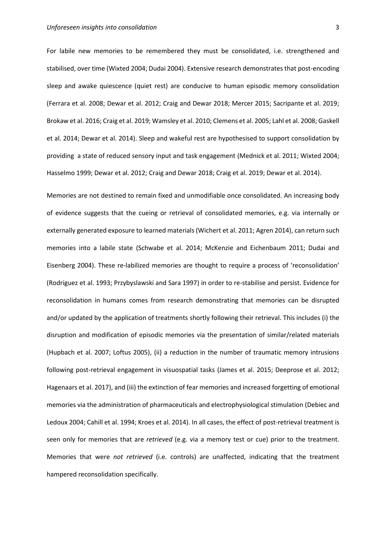For labile new memories to be remembered they must be consolidated, i.e. strengthened and stabilised, over time (Wixted 2004; Dudai 2004). Extensive research demonstrates that post-encoding sleep and awake quiescence (quiet rest) are conducive to human episodic memory consolidation (Ferrara et al. 2008; Dewar et al. 2012; Craig and Dewar 2018; Mercer 2015; Sacripante et al. 2019; Brokaw et al. 2016; Craig et al. 2019; Wamsley et al. 2010; Clemens et al. 2005; Lahl et al. 2008; Gaskell et al. 2014; Dewar et al. 2014). Sleep and wakeful rest are hypothesised to support consolidation by providing a state of reduced sensory input and task engagement (Mednick et al. 2011; Wixted 2004; Hasselmo 1999; Dewar et al. 2012; Craig and Dewar 2018; Craig et al. 2019; Dewar et al. 2014).

Memories are not destined to remain fixed and unmodifiable once consolidated. An increasing body of evidence suggests that the cueing or retrieval of consolidated memories, e.g. via internally or externally generated exposure to learned materials (Wichert et al. 2011; Agren 2014), can return such memories into a labile state (Schwabe et al. 2014; McKenzie and Eichenbaum 2011; Dudai and Eisenberg 2004). These re-labilized memories are thought to require a process of 'reconsolidation' (Rodriguez et al. 1993; Przybyslawski and Sara 1997) in order to re-stabilise and persist. Evidence for reconsolidation in humans comes from research demonstrating that memories can be disrupted and/or updated by the application of treatments shortly following their retrieval. This includes (i) the disruption and modification of episodic memories via the presentation of similar/related materials (Hupbach et al. 2007; Loftus 2005), (ii) a reduction in the number of traumatic memory intrusions following post-retrieval engagement in visuospatial tasks (James et al. 2015; Deeprose et al. 2012; Hagenaars et al. 2017), and (iii) the extinction of fear memories and increased forgetting of emotional memories via the administration of pharmaceuticals and electrophysiological stimulation (Debiec and Ledoux 2004; Cahill et al. 1994; Kroes et al. 2014). In all cases, the effect of post-retrieval treatment is seen only for memories that are *retrieved* (e.g. via a memory test or cue) prior to the treatment. Memories that were *not retrieved* (i.e. controls) are unaffected, indicating that the treatment hampered reconsolidation specifically.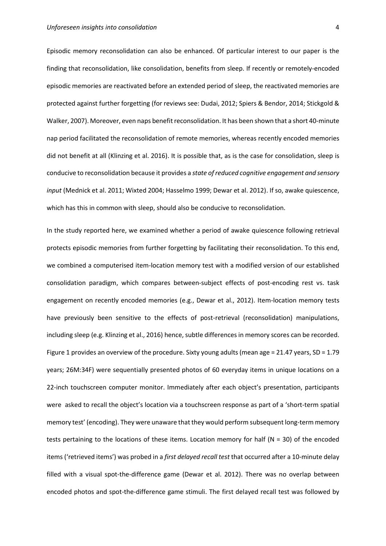Episodic memory reconsolidation can also be enhanced. Of particular interest to our paper is the finding that reconsolidation, like consolidation, benefits from sleep. If recently or remotely-encoded episodic memories are reactivated before an extended period of sleep, the reactivated memories are protected against further forgetting (for reviews see: Dudai, 2012; Spiers & Bendor, 2014; Stickgold & Walker, 2007). Moreover, even naps benefit reconsolidation. It has been shown that a short 40-minute nap period facilitated the reconsolidation of remote memories, whereas recently encoded memories did not benefit at all (Klinzing et al. 2016). It is possible that, as is the case for consolidation, sleep is conducive to reconsolidation because it provides a *state of reduced cognitive engagement and sensory input* (Mednick et al. 2011; Wixted 2004; Hasselmo 1999; Dewar et al. 2012). If so, awake quiescence, which has this in common with sleep, should also be conducive to reconsolidation.

In the study reported here, we examined whether a period of awake quiescence following retrieval protects episodic memories from further forgetting by facilitating their reconsolidation. To this end, we combined a computerised item-location memory test with a modified version of our established consolidation paradigm, which compares between-subject effects of post-encoding rest vs. task engagement on recently encoded memories (e.g., Dewar et al., 2012). Item-location memory tests have previously been sensitive to the effects of post-retrieval (reconsolidation) manipulations, including sleep (e.g. Klinzing et al., 2016) hence, subtle differences in memory scores can be recorded. Figure 1 provides an overview of the procedure. Sixty young adults (mean age = 21.47 years, SD = 1.79 years; 26M:34F) were sequentially presented photos of 60 everyday items in unique locations on a 22-inch touchscreen computer monitor. Immediately after each object's presentation, participants were asked to recall the object's location via a touchscreen response as part of a 'short-term spatial memory test' (encoding). They were unaware that they would perform subsequent long-term memory tests pertaining to the locations of these items. Location memory for half ( $N = 30$ ) of the encoded items ('retrieved items') was probed in a *first delayed recall test* that occurred after a 10-minute delay filled with a visual spot-the-difference game (Dewar et al. 2012). There was no overlap between encoded photos and spot-the-difference game stimuli. The first delayed recall test was followed by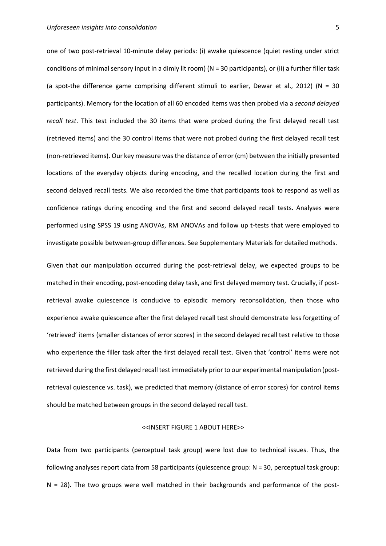one of two post-retrieval 10-minute delay periods: (i) awake quiescence (quiet resting under strict conditions of minimal sensory input in a dimly lit room) (N = 30 participants), or (ii) a further filler task (a spot-the difference game comprising different stimuli to earlier, Dewar et al., 2012) (N = 30 participants). Memory for the location of all 60 encoded items was then probed via a *second delayed recall test*. This test included the 30 items that were probed during the first delayed recall test (retrieved items) and the 30 control items that were not probed during the first delayed recall test (non-retrieved items). Our key measure was the distance of error (cm) between the initially presented locations of the everyday objects during encoding, and the recalled location during the first and second delayed recall tests. We also recorded the time that participants took to respond as well as confidence ratings during encoding and the first and second delayed recall tests. Analyses were performed using SPSS 19 using ANOVAs, RM ANOVAs and follow up t-tests that were employed to investigate possible between-group differences. See Supplementary Materials for detailed methods.

Given that our manipulation occurred during the post-retrieval delay, we expected groups to be matched in their encoding, post-encoding delay task, and first delayed memory test. Crucially, if postretrieval awake quiescence is conducive to episodic memory reconsolidation, then those who experience awake quiescence after the first delayed recall test should demonstrate less forgetting of 'retrieved' items (smaller distances of error scores) in the second delayed recall test relative to those who experience the filler task after the first delayed recall test. Given that 'control' items were not retrieved during the first delayed recall test immediately prior to our experimental manipulation (postretrieval quiescence vs. task), we predicted that memory (distance of error scores) for control items should be matched between groups in the second delayed recall test.

#### <<INSERT FIGURE 1 ABOUT HERE>>

Data from two participants (perceptual task group) were lost due to technical issues. Thus, the following analyses report data from 58 participants (quiescence group: N = 30, perceptual task group: N = 28). The two groups were well matched in their backgrounds and performance of the post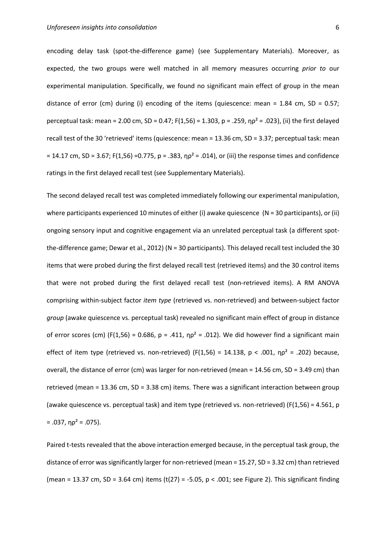encoding delay task (spot-the-difference game) (see Supplementary Materials). Moreover, as expected, the two groups were well matched in all memory measures occurring *prior to* our experimental manipulation. Specifically, we found no significant main effect of group in the mean distance of error (cm) during (i) encoding of the items (quiescence: mean = 1.84 cm, SD = 0.57; perceptual task: mean = 2.00 cm, SD = 0.47; F(1,56) = 1.303, p = .259,  $np^2$  = .023), (ii) the first delayed recall test of the 30 'retrieved' items (quiescence: mean = 13.36 cm, SD = 3.37; perceptual task: mean  $= 14.17$  cm, SD = 3.67; F(1,56) = 0.775, p = .383,  $np^2 = .014$ ), or (iii) the response times and confidence ratings in the first delayed recall test (see Supplementary Materials).

The second delayed recall test was completed immediately following our experimental manipulation, where participants experienced 10 minutes of either (i) awake quiescence  $(N = 30$  participants), or (ii) ongoing sensory input and cognitive engagement via an unrelated perceptual task (a different spotthe-difference game; Dewar et al., 2012) (N = 30 participants). This delayed recall test included the 30 items that were probed during the first delayed recall test (retrieved items) and the 30 control items that were not probed during the first delayed recall test (non-retrieved items). A RM ANOVA comprising within-subject factor *item type* (retrieved vs. non-retrieved) and between-subject factor *group* (awake quiescence vs. perceptual task) revealed no significant main effect of group in distance of error scores (cm) (F(1,56) = 0.686, p = .411,  $np^2$  = .012). We did however find a significant main effect of item type (retrieved vs. non-retrieved) (F(1,56) = 14.138, p < .001,  $np^2$  = .202) because, overall, the distance of error (cm) was larger for non-retrieved (mean = 14.56 cm, SD = 3.49 cm) than retrieved (mean = 13.36 cm, SD = 3.38 cm) items. There was a significant interaction between group (awake quiescence vs. perceptual task) and item type (retrieved vs. non-retrieved) (F(1,56) = 4.561, p  $= .037, \eta\rho^2 = .075$ ).

Paired t-tests revealed that the above interaction emerged because, in the perceptual task group, the distance of error was significantly larger for non-retrieved (mean = 15.27, SD = 3.32 cm) than retrieved (mean = 13.37 cm, SD = 3.64 cm) items (t(27) = -5.05,  $p < .001$ ; see Figure 2). This significant finding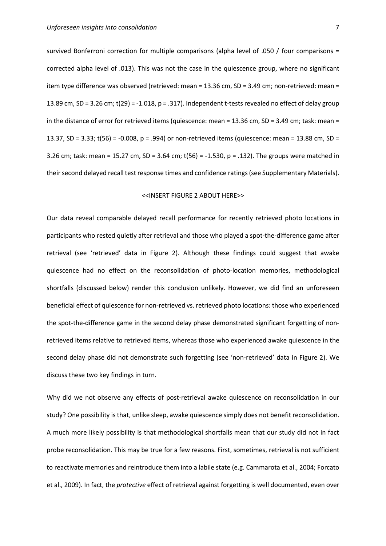survived Bonferroni correction for multiple comparisons (alpha level of .050 / four comparisons = corrected alpha level of .013). This was not the case in the quiescence group, where no significant item type difference was observed (retrieved: mean = 13.36 cm, SD = 3.49 cm; non-retrieved: mean = 13.89 cm, SD = 3.26 cm; t(29) = -1.018, p = .317). Independent t-tests revealed no effect of delay group in the distance of error for retrieved items (quiescence: mean = 13.36 cm, SD = 3.49 cm; task: mean = 13.37, SD = 3.33; t(56) = -0.008, p = .994) or non-retrieved items (quiescence: mean = 13.88 cm, SD = 3.26 cm; task: mean = 15.27 cm, SD = 3.64 cm; t(56) = -1.530, p = .132). The groups were matched in their second delayed recall test response times and confidence ratings (see Supplementary Materials).

#### <<INSERT FIGURE 2 ABOUT HERE>>

Our data reveal comparable delayed recall performance for recently retrieved photo locations in participants who rested quietly after retrieval and those who played a spot-the-difference game after retrieval (see 'retrieved' data in Figure 2). Although these findings could suggest that awake quiescence had no effect on the reconsolidation of photo-location memories, methodological shortfalls (discussed below) render this conclusion unlikely. However, we did find an unforeseen beneficial effect of quiescence for non-retrieved vs. retrieved photo locations: those who experienced the spot-the-difference game in the second delay phase demonstrated significant forgetting of nonretrieved items relative to retrieved items, whereas those who experienced awake quiescence in the second delay phase did not demonstrate such forgetting (see 'non-retrieved' data in Figure 2). We discuss these two key findings in turn.

Why did we not observe any effects of post-retrieval awake quiescence on reconsolidation in our study? One possibility is that, unlike sleep, awake quiescence simply does not benefit reconsolidation. A much more likely possibility is that methodological shortfalls mean that our study did not in fact probe reconsolidation. This may be true for a few reasons. First, sometimes, retrieval is not sufficient to reactivate memories and reintroduce them into a labile state (e.g. Cammarota et al., 2004; Forcato et al., 2009). In fact, the *protective* effect of retrieval against forgetting is well documented, even over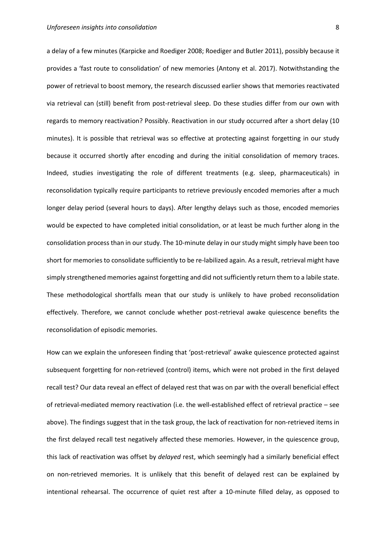a delay of a few minutes (Karpicke and Roediger 2008; Roediger and Butler 2011), possibly because it provides a 'fast route to consolidation' of new memories (Antony et al. 2017). Notwithstanding the power of retrieval to boost memory, the research discussed earlier shows that memories reactivated via retrieval can (still) benefit from post-retrieval sleep. Do these studies differ from our own with regards to memory reactivation? Possibly. Reactivation in our study occurred after a short delay (10 minutes). It is possible that retrieval was so effective at protecting against forgetting in our study because it occurred shortly after encoding and during the initial consolidation of memory traces. Indeed, studies investigating the role of different treatments (e.g. sleep, pharmaceuticals) in reconsolidation typically require participants to retrieve previously encoded memories after a much longer delay period (several hours to days). After lengthy delays such as those, encoded memories would be expected to have completed initial consolidation, or at least be much further along in the consolidation process than in our study. The 10-minute delay in our study might simply have been too short for memories to consolidate sufficiently to be re-labilized again. As a result, retrieval might have simply strengthened memories against forgetting and did not sufficiently return them to a labile state. These methodological shortfalls mean that our study is unlikely to have probed reconsolidation effectively. Therefore, we cannot conclude whether post-retrieval awake quiescence benefits the reconsolidation of episodic memories.

How can we explain the unforeseen finding that 'post-retrieval' awake quiescence protected against subsequent forgetting for non-retrieved (control) items, which were not probed in the first delayed recall test? Our data reveal an effect of delayed rest that was on par with the overall beneficial effect of retrieval-mediated memory reactivation (i.e. the well-established effect of retrieval practice – see above). The findings suggest that in the task group, the lack of reactivation for non-retrieved items in the first delayed recall test negatively affected these memories. However, in the quiescence group, this lack of reactivation was offset by *delayed* rest, which seemingly had a similarly beneficial effect on non-retrieved memories. It is unlikely that this benefit of delayed rest can be explained by intentional rehearsal. The occurrence of quiet rest after a 10-minute filled delay, as opposed to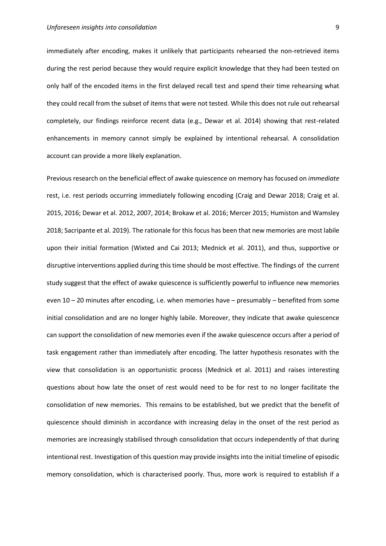immediately after encoding, makes it unlikely that participants rehearsed the non-retrieved items during the rest period because they would require explicit knowledge that they had been tested on only half of the encoded items in the first delayed recall test and spend their time rehearsing what they could recall from the subset of items that were not tested. While this does not rule out rehearsal completely, our findings reinforce recent data (e.g., Dewar et al. 2014) showing that rest-related enhancements in memory cannot simply be explained by intentional rehearsal. A consolidation account can provide a more likely explanation.

Previous research on the beneficial effect of awake quiescence on memory has focused on *immediate* rest, i.e. rest periods occurring immediately following encoding (Craig and Dewar 2018; Craig et al. 2015, 2016; Dewar et al. 2012, 2007, 2014; Brokaw et al. 2016; Mercer 2015; Humiston and Wamsley 2018; Sacripante et al. 2019). The rationale for this focus has been that new memories are most labile upon their initial formation (Wixted and Cai 2013; Mednick et al. 2011), and thus, supportive or disruptive interventions applied during this time should be most effective. The findings of the current study suggest that the effect of awake quiescence is sufficiently powerful to influence new memories even 10 – 20 minutes after encoding, i.e. when memories have – presumably – benefited from some initial consolidation and are no longer highly labile. Moreover, they indicate that awake quiescence can support the consolidation of new memories even if the awake quiescence occurs after a period of task engagement rather than immediately after encoding. The latter hypothesis resonates with the view that consolidation is an opportunistic process (Mednick et al. 2011) and raises interesting questions about how late the onset of rest would need to be for rest to no longer facilitate the consolidation of new memories. This remains to be established, but we predict that the benefit of quiescence should diminish in accordance with increasing delay in the onset of the rest period as memories are increasingly stabilised through consolidation that occurs independently of that during intentional rest. Investigation of this question may provide insights into the initial timeline of episodic memory consolidation, which is characterised poorly. Thus, more work is required to establish if a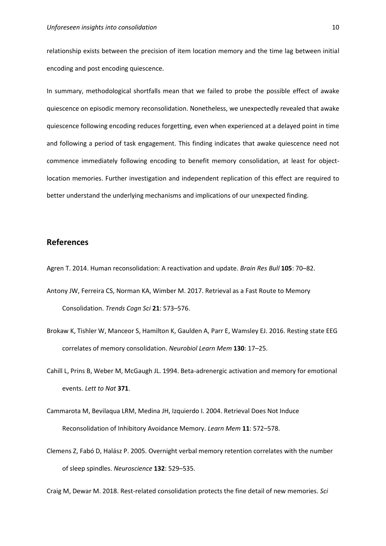relationship exists between the precision of item location memory and the time lag between initial encoding and post encoding quiescence.

In summary, methodological shortfalls mean that we failed to probe the possible effect of awake quiescence on episodic memory reconsolidation. Nonetheless, we unexpectedly revealed that awake quiescence following encoding reduces forgetting, even when experienced at a delayed point in time and following a period of task engagement. This finding indicates that awake quiescence need not commence immediately following encoding to benefit memory consolidation, at least for objectlocation memories. Further investigation and independent replication of this effect are required to better understand the underlying mechanisms and implications of our unexpected finding.

#### **References**

Agren T. 2014. Human reconsolidation: A reactivation and update. *Brain Res Bull* **105**: 70–82.

- Antony JW, Ferreira CS, Norman KA, Wimber M. 2017. Retrieval as a Fast Route to Memory Consolidation. *Trends Cogn Sci* **21**: 573–576.
- Brokaw K, Tishler W, Manceor S, Hamilton K, Gaulden A, Parr E, Wamsley EJ. 2016. Resting state EEG correlates of memory consolidation. *Neurobiol Learn Mem* **130**: 17–25.
- Cahill L, Prins B, Weber M, McGaugh JL. 1994. Beta-adrenergic activation and memory for emotional events. *Lett to Nat* **371**.
- Cammarota M, Bevilaqua LRM, Medina JH, Izquierdo I. 2004. Retrieval Does Not Induce Reconsolidation of Inhibitory Avoidance Memory. *Learn Mem* **11**: 572–578.
- Clemens Z, Fabó D, Halász P. 2005. Overnight verbal memory retention correlates with the number of sleep spindles. *Neuroscience* **132**: 529–535.

Craig M, Dewar M. 2018. Rest-related consolidation protects the fine detail of new memories. *Sci*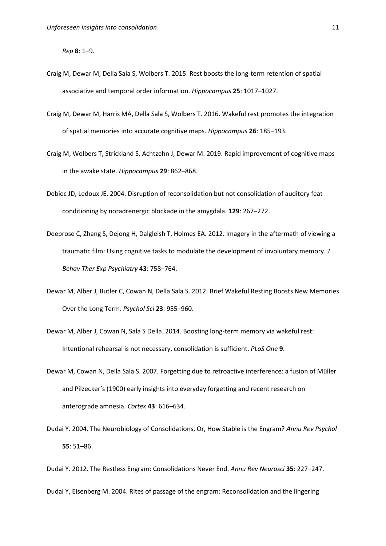*Rep* **8**: 1–9.

- Craig M, Dewar M, Della Sala S, Wolbers T. 2015. Rest boosts the long-term retention of spatial associative and temporal order information. *Hippocampus* **25**: 1017–1027.
- Craig M, Dewar M, Harris MA, Della Sala S, Wolbers T. 2016. Wakeful rest promotes the integration of spatial memories into accurate cognitive maps. *Hippocampus* **26**: 185–193.
- Craig M, Wolbers T, Strickland S, Achtzehn J, Dewar M. 2019. Rapid improvement of cognitive maps in the awake state. *Hippocampus* **29**: 862–868.
- Debiec JD, Ledoux JE. 2004. Disruption of reconsolidation but not consolidation of auditory feat conditioning by noradrenergic blockade in the amygdala. **129**: 267–272.
- Deeprose C, Zhang S, Dejong H, Dalgleish T, Holmes EA. 2012. Imagery in the aftermath of viewing a traumatic film: Using cognitive tasks to modulate the development of involuntary memory. *J Behav Ther Exp Psychiatry* **43**: 758–764.
- Dewar M, Alber J, Butler C, Cowan N, Della Sala S. 2012. Brief Wakeful Resting Boosts New Memories Over the Long Term. *Psychol Sci* **23**: 955–960.
- Dewar M, Alber J, Cowan N, Sala S Della. 2014. Boosting long-term memory via wakeful rest: Intentional rehearsal is not necessary, consolidation is sufficient. *PLoS One* **9**.
- Dewar M, Cowan N, Della Sala S. 2007. Forgetting due to retroactive interference: a fusion of Müller and Pilzecker's (1900) early insights into everyday forgetting and recent research on anterograde amnesia. *Cortex* **43**: 616–634.
- Dudai Y. 2004. The Neurobiology of Consolidations, Or, How Stable is the Engram? *Annu Rev Psychol* **55**: 51–86.

Dudai Y. 2012. The Restless Engram: Consolidations Never End. *Annu Rev Neurosci* **35**: 227–247.

Dudai Y, Eisenberg M. 2004. Rites of passage of the engram: Reconsolidation and the lingering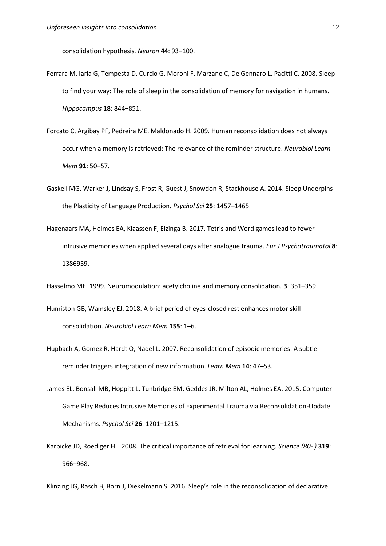consolidation hypothesis. *Neuron* **44**: 93–100.

- Ferrara M, Iaria G, Tempesta D, Curcio G, Moroni F, Marzano C, De Gennaro L, Pacitti C. 2008. Sleep to find your way: The role of sleep in the consolidation of memory for navigation in humans. *Hippocampus* **18**: 844–851.
- Forcato C, Argibay PF, Pedreira ME, Maldonado H. 2009. Human reconsolidation does not always occur when a memory is retrieved: The relevance of the reminder structure. *Neurobiol Learn Mem* **91**: 50–57.
- Gaskell MG, Warker J, Lindsay S, Frost R, Guest J, Snowdon R, Stackhouse A. 2014. Sleep Underpins the Plasticity of Language Production. *Psychol Sci* **25**: 1457–1465.
- Hagenaars MA, Holmes EA, Klaassen F, Elzinga B. 2017. Tetris and Word games lead to fewer intrusive memories when applied several days after analogue trauma. *Eur J Psychotraumatol* **8**: 1386959.
- Hasselmo ME. 1999. Neuromodulation: acetylcholine and memory consolidation. **3**: 351–359.
- Humiston GB, Wamsley EJ. 2018. A brief period of eyes-closed rest enhances motor skill consolidation. *Neurobiol Learn Mem* **155**: 1–6.
- Hupbach A, Gomez R, Hardt O, Nadel L. 2007. Reconsolidation of episodic memories: A subtle reminder triggers integration of new information. *Learn Mem* **14**: 47–53.
- James EL, Bonsall MB, Hoppitt L, Tunbridge EM, Geddes JR, Milton AL, Holmes EA. 2015. Computer Game Play Reduces Intrusive Memories of Experimental Trauma via Reconsolidation-Update Mechanisms. *Psychol Sci* **26**: 1201–1215.
- Karpicke JD, Roediger HL. 2008. The critical importance of retrieval for learning. *Science (80- )* **319**: 966–968.

Klinzing JG, Rasch B, Born J, Diekelmann S. 2016. Sleep's role in the reconsolidation of declarative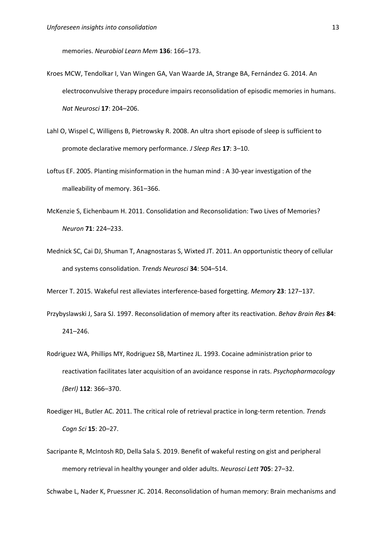memories. *Neurobiol Learn Mem* **136**: 166–173.

- Kroes MCW, Tendolkar I, Van Wingen GA, Van Waarde JA, Strange BA, Fernández G. 2014. An electroconvulsive therapy procedure impairs reconsolidation of episodic memories in humans. *Nat Neurosci* **17**: 204–206.
- Lahl O, Wispel C, Willigens B, Pietrowsky R. 2008. An ultra short episode of sleep is sufficient to promote declarative memory performance. *J Sleep Res* **17**: 3–10.
- Loftus EF. 2005. Planting misinformation in the human mind : A 30-year investigation of the malleability of memory. 361–366.
- McKenzie S, Eichenbaum H. 2011. Consolidation and Reconsolidation: Two Lives of Memories? *Neuron* **71**: 224–233.
- Mednick SC, Cai DJ, Shuman T, Anagnostaras S, Wixted JT. 2011. An opportunistic theory of cellular and systems consolidation. *Trends Neurosci* **34**: 504–514.

Mercer T. 2015. Wakeful rest alleviates interference-based forgetting. *Memory* **23**: 127–137.

- Przybyslawski J, Sara SJ. 1997. Reconsolidation of memory after its reactivation. *Behav Brain Res* **84**: 241–246.
- Rodriguez WA, Phillips MY, Rodriguez SB, Martinez JL. 1993. Cocaine administration prior to reactivation facilitates later acquisition of an avoidance response in rats. *Psychopharmacology (Berl)* **112**: 366–370.
- Roediger HL, Butler AC. 2011. The critical role of retrieval practice in long-term retention. *Trends Cogn Sci* **15**: 20–27.
- Sacripante R, McIntosh RD, Della Sala S. 2019. Benefit of wakeful resting on gist and peripheral memory retrieval in healthy younger and older adults. *Neurosci Lett* **705**: 27–32.

Schwabe L, Nader K, Pruessner JC. 2014. Reconsolidation of human memory: Brain mechanisms and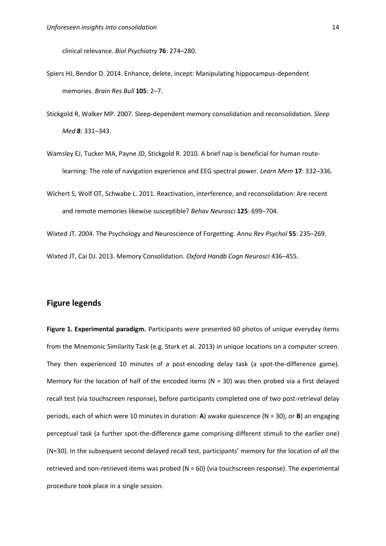clinical relevance. *Biol Psychiatry* **76**: 274–280.

- Spiers HJ, Bendor D. 2014. Enhance, delete, incept: Manipulating hippocampus-dependent memories. *Brain Res Bull* **105**: 2–7.
- Stickgold R, Walker MP. 2007. Sleep-dependent memory consolidation and reconsolidation. *Sleep Med* **8**: 331–343.
- Wamsley EJ, Tucker MA, Payne JD, Stickgold R. 2010. A brief nap is beneficial for human routelearning: The role of navigation experience and EEG spectral power. *Learn Mem* **17**: 332–336.
- Wichert S, Wolf OT, Schwabe L. 2011. Reactivation, interference, and reconsolidation: Are recent and remote memories likewise susceptible? *Behav Neurosci* **125**: 699–704.

Wixted JT. 2004. The Psychology and Neuroscience of Forgetting. *Annu Rev Psychol* **55**: 235–269.

Wixted JT, Cai DJ. 2013. Memory Consolidation. *Oxford Handb Cogn Neurosci* 436–455.

### **Figure legends**

**Figure 1. Experimental paradigm.** Participants were presented 60 photos of unique everyday items from the Mnemonic Similarity Task (e.g. Stark et al. 2013) in unique locations on a computer screen. They then experienced 10 minutes of a post-encoding delay task (a spot-the-difference game). Memory for the location of half of the encoded items  $(N = 30)$  was then probed via a first delayed recall test (via touchscreen response), before participants completed one of two post-retrieval delay periods, each of which were 10 minutes in duration: **A**) awake quiescence (N = 30), or **B**) an engaging perceptual task (a further spot-the-difference game comprising different stimuli to the earlier one) (N=30). In the subsequent second delayed recall test, participants' memory for the location of *all* the retrieved and non-retrieved items was probed ( $N = 60$ ) (via touchscreen response). The experimental procedure took place in a single session.